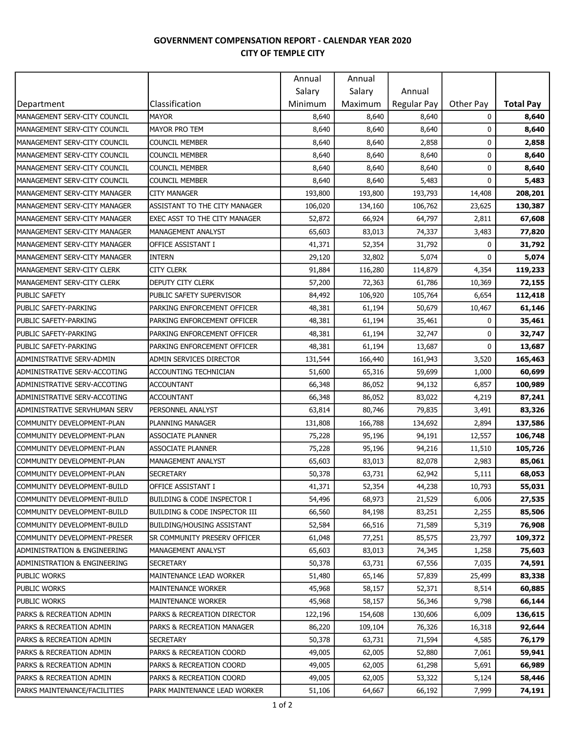## GOVERNMENT COMPENSATION REPORT - CALENDAR YEAR 2020 CITY OF TEMPLE CITY

|                                         |                                   | Annual  | Annual  |             |           |                  |
|-----------------------------------------|-----------------------------------|---------|---------|-------------|-----------|------------------|
|                                         |                                   | Salary  | Salary  | Annual      |           |                  |
| Department                              | Classification                    | Minimum | Maximum | Regular Pay | Other Pay | <b>Total Pay</b> |
| MANAGEMENT SERV-CITY COUNCIL            | <b>MAYOR</b>                      | 8,640   | 8,640   | 8,640       | 0         | 8,640            |
| MANAGEMENT SERV-CITY COUNCIL            | <b>MAYOR PRO TEM</b>              | 8,640   | 8,640   | 8,640       | 0         | 8,640            |
| MANAGEMENT SERV-CITY COUNCIL            | <b>COUNCIL MEMBER</b>             | 8,640   | 8,640   | 2,858       | 0         | 2,858            |
| MANAGEMENT SERV-CITY COUNCIL            | <b>COUNCIL MEMBER</b>             | 8,640   | 8,640   | 8,640       | 0         | 8,640            |
| MANAGEMENT SERV-CITY COUNCIL            | <b>COUNCIL MEMBER</b>             | 8,640   | 8,640   | 8,640       | 0         | 8,640            |
| MANAGEMENT SERV-CITY COUNCIL            | <b>COUNCIL MEMBER</b>             | 8,640   | 8,640   | 5,483       | 0         | 5,483            |
| MANAGEMENT SERV-CITY MANAGER            | <b>CITY MANAGER</b>               | 193,800 | 193,800 | 193,793     | 14,408    | 208,201          |
| MANAGEMENT SERV-CITY MANAGER            | ASSISTANT TO THE CITY MANAGER     | 106,020 | 134,160 | 106,762     | 23,625    | 130,387          |
| MANAGEMENT SERV-CITY MANAGER            | EXEC ASST TO THE CITY MANAGER     | 52,872  | 66,924  | 64,797      | 2,811     | 67,608           |
| MANAGEMENT SERV-CITY MANAGER            | MANAGEMENT ANALYST                | 65,603  | 83,013  | 74,337      | 3,483     | 77,820           |
| MANAGEMENT SERV-CITY MANAGER            | OFFICE ASSISTANT I                | 41,371  | 52,354  | 31,792      | 0         | 31,792           |
| MANAGEMENT SERV-CITY MANAGER            | <b>INTERN</b>                     | 29,120  | 32,802  | 5,074       | 0         | 5,074            |
| MANAGEMENT SERV-CITY CLERK              | <b>CITY CLERK</b>                 | 91,884  | 116,280 | 114,879     | 4,354     | 119,233          |
| MANAGEMENT SERV-CITY CLERK              | DEPUTY CITY CLERK                 | 57,200  | 72,363  | 61,786      | 10,369    | 72,155           |
| <b>PUBLIC SAFETY</b>                    | PUBLIC SAFETY SUPERVISOR          | 84,492  | 106,920 | 105,764     | 6,654     | 112,418          |
| PUBLIC SAFETY-PARKING                   | PARKING ENFORCEMENT OFFICER       | 48,381  | 61,194  | 50,679      | 10,467    | 61,146           |
| PUBLIC SAFETY-PARKING                   | PARKING ENFORCEMENT OFFICER       | 48,381  | 61,194  | 35,461      | 0         | 35,461           |
| PUBLIC SAFETY-PARKING                   | PARKING ENFORCEMENT OFFICER       | 48,381  | 61,194  | 32,747      | 0         | 32,747           |
| PUBLIC SAFETY-PARKING                   | PARKING ENFORCEMENT OFFICER       | 48,381  | 61,194  | 13,687      | 0         | 13,687           |
| ADMINISTRATIVE SERV-ADMIN               | ADMIN SERVICES DIRECTOR           | 131,544 | 166,440 | 161,943     | 3,520     | 165,463          |
| ADMINISTRATIVE SERV-ACCOTING            | <b>ACCOUNTING TECHNICIAN</b>      | 51,600  | 65,316  | 59,699      | 1,000     | 60,699           |
| ADMINISTRATIVE SERV-ACCOTING            | <b>ACCOUNTANT</b>                 | 66,348  | 86,052  | 94,132      | 6,857     | 100,989          |
| ADMINISTRATIVE SERV-ACCOTING            | <b>ACCOUNTANT</b>                 | 66,348  | 86,052  | 83,022      | 4,219     | 87,241           |
| ADMINISTRATIVE SERVHUMAN SERV           | PERSONNEL ANALYST                 | 63,814  | 80,746  | 79,835      | 3,491     | 83,326           |
| COMMUNITY DEVELOPMENT-PLAN              | PLANNING MANAGER                  | 131,808 | 166,788 | 134,692     | 2,894     | 137,586          |
| COMMUNITY DEVELOPMENT-PLAN              | <b>ASSOCIATE PLANNER</b>          | 75,228  | 95,196  | 94,191      | 12,557    | 106,748          |
| COMMUNITY DEVELOPMENT-PLAN              | <b>ASSOCIATE PLANNER</b>          | 75,228  | 95,196  | 94,216      | 11,510    | 105,726          |
| COMMUNITY DEVELOPMENT-PLAN              | MANAGEMENT ANALYST                | 65,603  | 83,013  | 82,078      | 2,983     | 85,061           |
| COMMUNITY DEVELOPMENT-PLAN              | <b>SECRETARY</b>                  | 50,378  | 63,731  | 62,942      | 5,111     | 68,053           |
| COMMUNITY DEVELOPMENT-BUILD             | OFFICE ASSISTANT I                | 41,371  | 52,354  | 44,238      | 10,793    | 55,031           |
| COMMUNITY DEVELOPMENT-BUILD             | BUILDING & CODE INSPECTOR I       | 54,496  | 68,973  | 21,529      | 6,006     | 27,535           |
| ICOMMUNITY DEVELOPMENT-BUILD            | BUILDING & CODE INSPECTOR III     | 66,560  | 84,198  | 83,251      | 2,255     | 85,506           |
| COMMUNITY DEVELOPMENT-BUILD             | <b>BUILDING/HOUSING ASSISTANT</b> | 52,584  | 66,516  | 71,589      | 5,319     | 76,908           |
| COMMUNITY DEVELOPMENT-PRESER            | SR COMMUNITY PRESERV OFFICER      | 61,048  | 77,251  | 85,575      | 23,797    | 109,372          |
| <b>ADMINISTRATION &amp; ENGINEERING</b> | MANAGEMENT ANALYST                | 65,603  | 83,013  | 74,345      | 1,258     | 75,603           |
| ADMINISTRATION & ENGINEERING            | SECRETARY                         | 50,378  | 63,731  | 67,556      | 7,035     | 74,591           |
| PUBLIC WORKS                            | MAINTENANCE LEAD WORKER           | 51,480  | 65,146  | 57,839      | 25,499    | 83,338           |
| <b>PUBLIC WORKS</b>                     | <b>MAINTENANCE WORKER</b>         | 45,968  | 58,157  | 52,371      | 8,514     | 60,885           |
| <b>PUBLIC WORKS</b>                     | <b>MAINTENANCE WORKER</b>         | 45,968  | 58,157  | 56,346      | 9,798     | 66,144           |
| PARKS & RECREATION ADMIN                | PARKS & RECREATION DIRECTOR       | 122,196 | 154,608 | 130,606     | 6,009     | 136,615          |
| PARKS & RECREATION ADMIN                | PARKS & RECREATION MANAGER        | 86,220  | 109,104 | 76,326      | 16,318    | 92,644           |
| PARKS & RECREATION ADMIN                | <b>SECRETARY</b>                  | 50,378  | 63,731  | 71,594      | 4,585     | 76,179           |
| PARKS & RECREATION ADMIN                | PARKS & RECREATION COORD          | 49,005  | 62,005  | 52,880      | 7,061     | 59,941           |
| PARKS & RECREATION ADMIN                | PARKS & RECREATION COORD          | 49,005  | 62,005  | 61,298      | 5,691     | 66,989           |
| PARKS & RECREATION ADMIN                | PARKS & RECREATION COORD          | 49,005  | 62,005  | 53,322      | 5,124     | 58,446           |
| PARKS MAINTENANCE/FACILITIES            | PARK MAINTENANCE LEAD WORKER      | 51,106  | 64,667  | 66,192      | 7,999     | 74,191           |